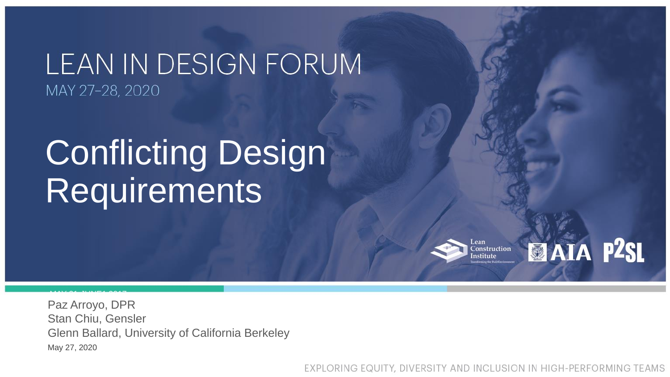## LEAN IN DESIGN FORUM MAY 27-28, 2020

# Conflicting Design Requirements

ean Construction nstitute

MAY 31-JUNE1 2017

EXPLORING EQUITY, DIVERSITY AND INCLUSION IN HIGH-PERFORMING TEAMS



Paz Arroyo, DPR Stan Chiu, Gensler Glenn Ballard, University of California Berkeley May 27, 2020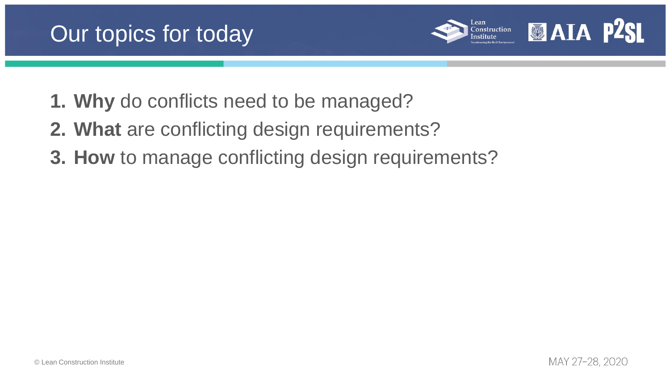



- **1. Why** do conflicts need to be managed?
- **2. What** are conflicting design requirements?
- **3. How** to manage conflicting design requirements?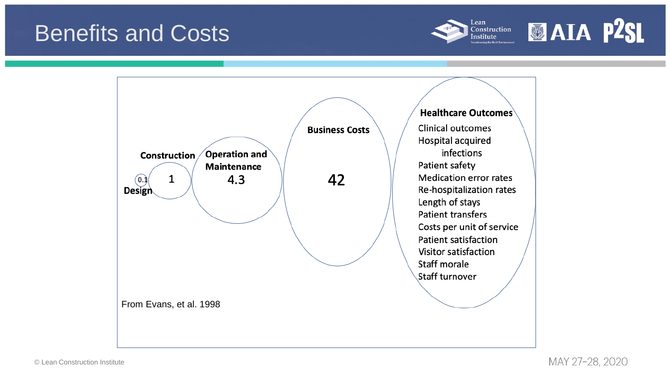



## Benefits and Costs

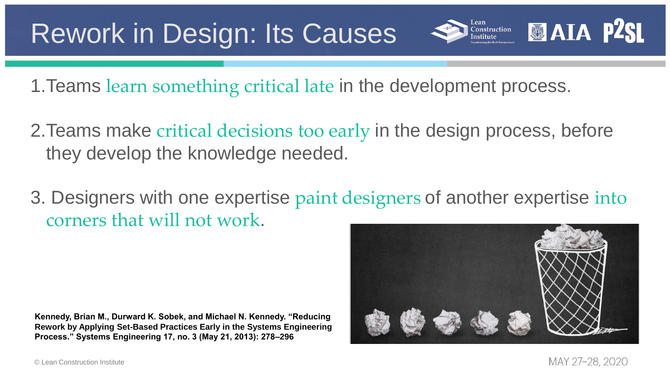

1.Teams learn something critical late in the development process.

- 2.Teams make critical decisions too early in the design process, before they develop the knowledge needed.
- 3. Designers with one expertise paint designers of another expertise into corners that will not work.

## Rework in Design: Its Causes



**Kennedy, Brian M., Durward K. Sobek, and Michael N. Kennedy. "Reducing Rework by Applying Set-Based Practices Early in the Systems Engineering Process." Systems Engineering 17, no. 3 (May 21, 2013): 278–296**

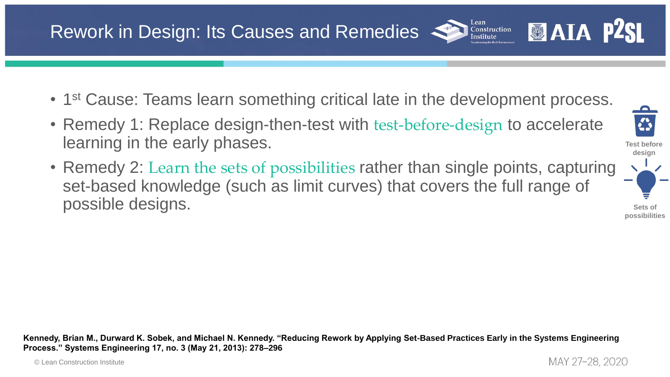

Lean

Construction **Institute** 

### Rework in Design: Its Causes and Remedies

- 1<sup>st</sup> Cause: Teams learn something critical late in the development process.
- Remedy 1: Replace design-then-test with test-before-design to accelerate learning in the early phases.
- Remedy 2: Learn the sets of possibilities rather than single points, capturing set-based knowledge (such as limit curves) that covers the full range of possible designs.

**Kennedy, Brian M., Durward K. Sobek, and Michael N. Kennedy. "Reducing Rework by Applying Set-Based Practices Early in the Systems Engineering Process." Systems Engineering 17, no. 3 (May 21, 2013): 278–296**

**Sets of possibilities**

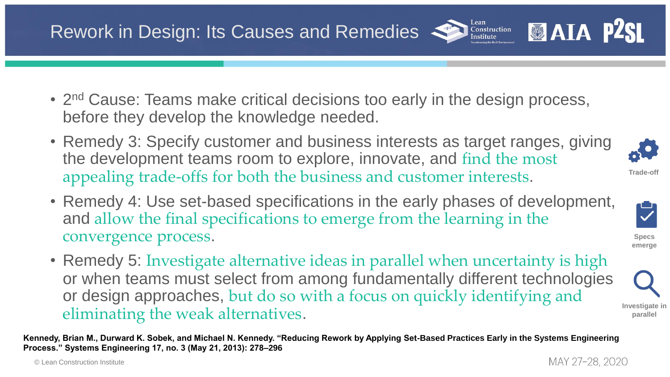

Lean

Construction Institute

### Rework in Design: Its Causes and Remedies



- Remedy 3: Specify customer and business interests as target ranges, giving the development teams room to explore, innovate, and find the most appealing trade-offs for both the business and customer interests.
- Remedy 4: Use set-based specifications in the early phases of development, and allow the final specifications to emerge from the learning in the convergence process.
- Remedy 5: Investigate alternative ideas in parallel when uncertainty is high or when teams must select from among fundamentally different technologies or design approaches, but do so with a focus on quickly identifying and eliminating the weak alternatives.

**Kennedy, Brian M., Durward K. Sobek, and Michael N. Kennedy. "Reducing Rework by Applying Set-Based Practices Early in the Systems Engineering Process." Systems Engineering 17, no. 3 (May 21, 2013): 278–296**





**Specs emerge**



**Investigate in parallel**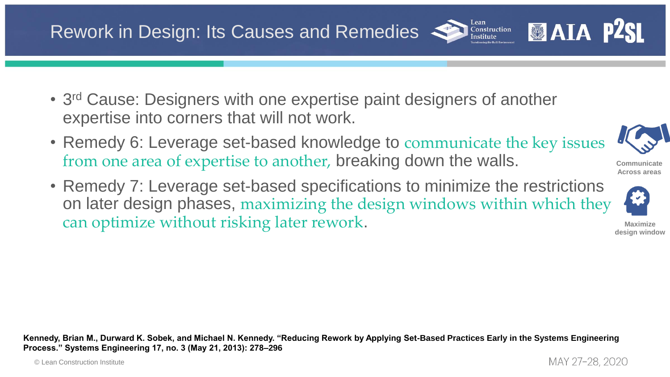

Lean

Construction **Institute** 



### Rework in Design: Its Causes and Remedies

- 3<sup>rd</sup> Cause: Designers with one expertise paint designers of another expertise into corners that will not work.
- Remedy 6: Leverage set-based knowledge to communicate the key issues from one area of expertise to another, breaking down the walls.
- Remedy 7: Leverage set-based specifications to minimize the restrictions on later design phases, maximizing the design windows within which they can optimize without risking later rework.

**Kennedy, Brian M., Durward K. Sobek, and Michael N. Kennedy. "Reducing Rework by Applying Set-Based Practices Early in the Systems Engineering Process." Systems Engineering 17, no. 3 (May 21, 2013): 278–296**

**Maximize design window**

MAY 27-28, 2020

**Communicate Across areas**

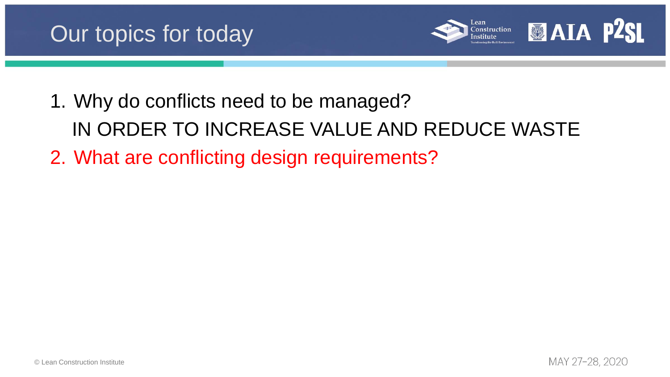





- 1. Why do conflicts need to be managed? IN ORDER TO INCREASE VALUE AND REDUCE WASTE
- 2. What are conflicting design requirements?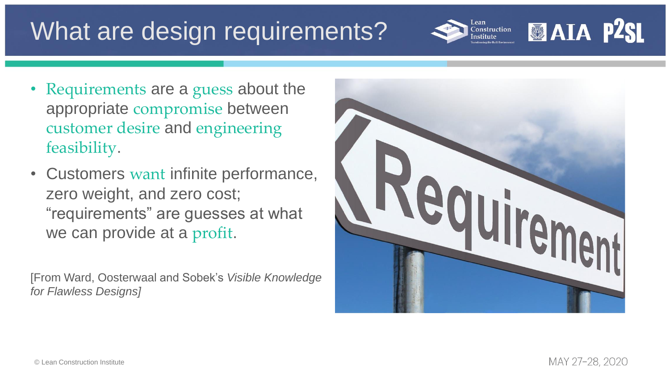## What are design requirements?

- Requirements are a guess about the appropriate compromise between customer desire and engineering feasibility.
- Customers want infinite performance, zero weight, and zero cost; "requirements" are guesses at what we can provide at a profit.

[From Ward, Oosterwaal and Sobek's *Visible Knowledge for Flawless Designs]* 





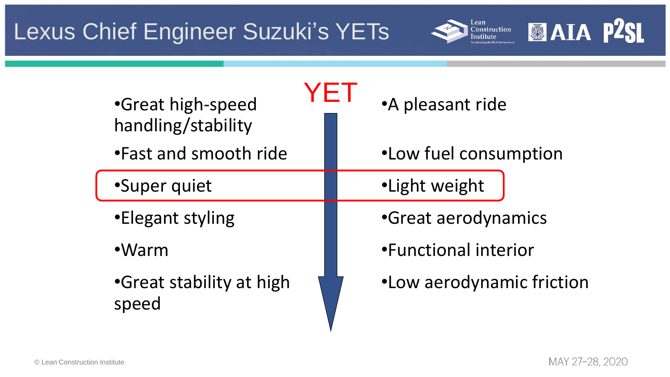

### otion

### friction

MAY 27-28, 2020

## Lexus Chief Engineer Suzuki's YETs



| •Great high-speed<br>handling/stability | •A pleasant ride      |
|-----------------------------------------|-----------------------|
| . Fast and smooth ride                  | .Low fuel consumption |
| •Super quiet                            | ·Light weight         |
| •Elegant styling                        | •Great aerodynamics   |
| ·Warm                                   | •Functional interior  |
| •Great stability at high<br>speed       | ·Low aerodynamic fri  |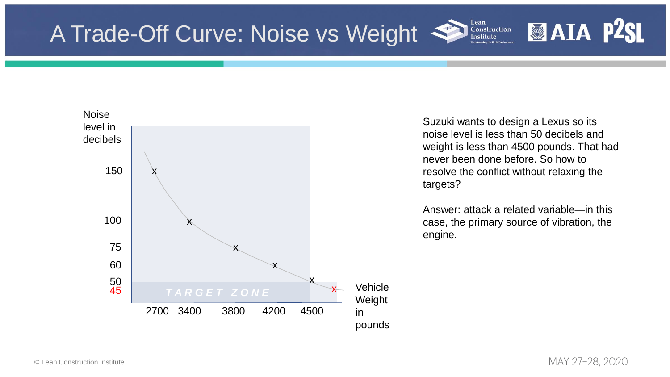

Suzuki wants to design a Lexus so its noise level is less than 50 decibels and weight is less than 4500 pounds. That had never been done before. So how to resolve the conflict without relaxing the targets?

Lean

**Construction** Institute



Answer: attack a related variable—in this case, the primary source of vibration, the engine.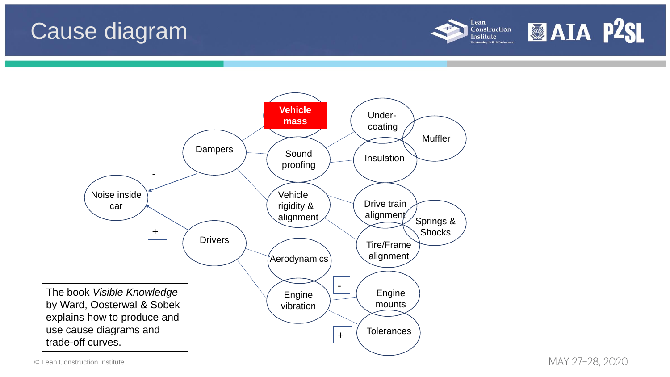© Lean Construction Institute



MAY 27-28, 2020

## Cause diagram



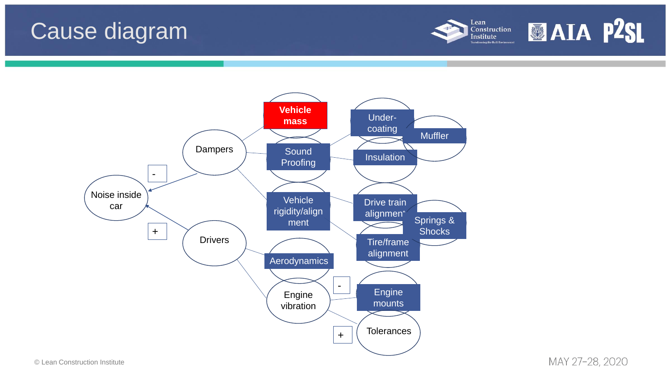© Lean Construction Institute



MAY 27-28, 2020

## Cause diagram



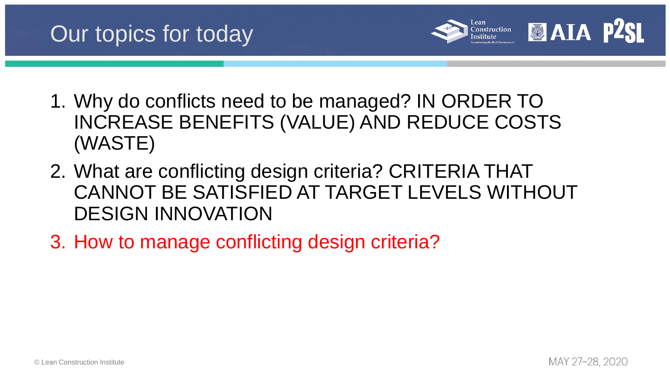

## Our topics for today



- 1. Why do conflicts need to be managed? IN ORDER TO INCREASE BENEFITS (VALUE) AND REDUCE COSTS (WASTE)
- 2. What are conflicting design criteria? CRITERIA THAT CANNOT BE SATISFIED AT TARGET LEVELS WITHOUT DESIGN INNOVATION
- 3. How to manage conflicting design criteria?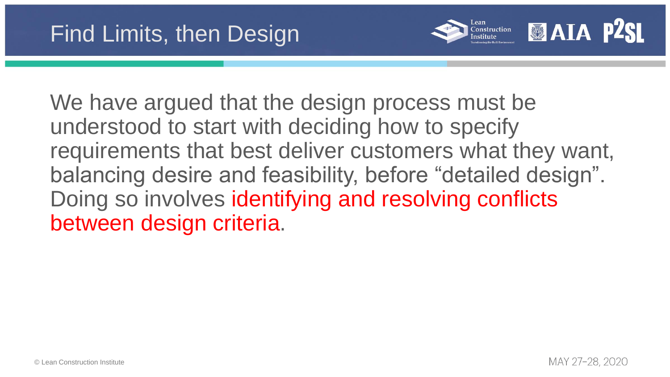





We have argued that the design process must be understood to start with deciding how to specify requirements that best deliver customers what they want, balancing desire and feasibility, before "detailed design". Doing so involves identifying and resolving conflicts between design criteria.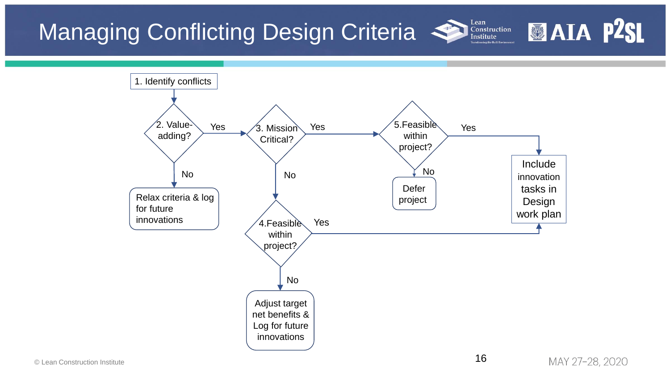

No

Adjust target net benefits &

Log for future innovations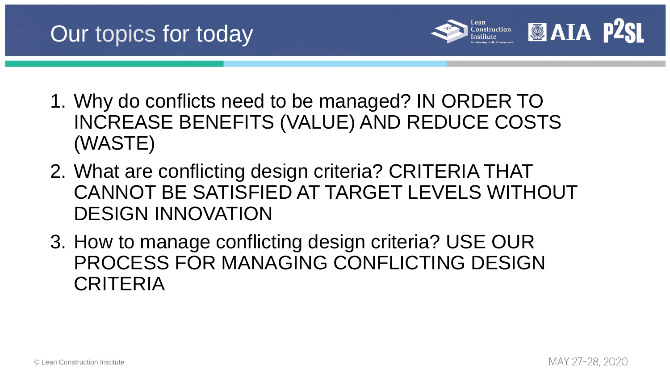

## Our topics for today



- 1. Why do conflicts need to be managed? IN ORDER TO INCREASE BENEFITS (VALUE) AND REDUCE COSTS (WASTE)
- 2. What are conflicting design criteria? CRITERIA THAT CANNOT BE SATISFIED AT TARGET LEVELS WITHOUT DESIGN INNOVATION
- 3. How to manage conflicting design criteria? USE OUR PROCESS FOR MANAGING CONFLICTING DESIGN CRITERIA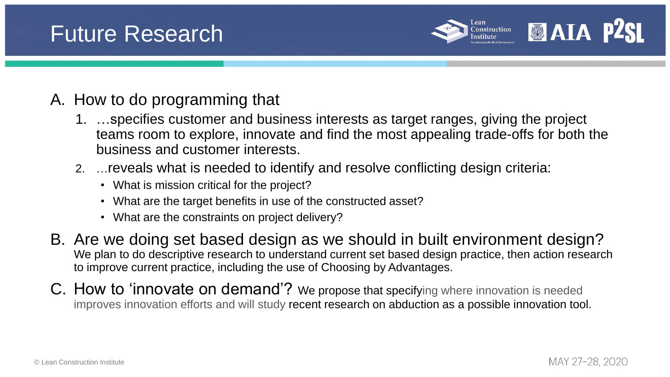

## Future Research



### A. How to do programming that

- 1. …specifies customer and business interests as target ranges, giving the project teams room to explore, innovate and find the most appealing trade-offs for both the business and customer interests.
- 2. …reveals what is needed to identify and resolve conflicting design criteria:
	- What is mission critical for the project?
	- What are the target benefits in use of the constructed asset?
	- What are the constraints on project delivery?
- B. Are we doing set based design as we should in built environment design? We plan to do descriptive research to understand current set based design practice, then action research to improve current practice, including the use of Choosing by Advantages.
- C. How to 'innovate on demand'? We propose that specifying where innovation is needed improves innovation efforts and will study recent research on abduction as a possible innovation tool.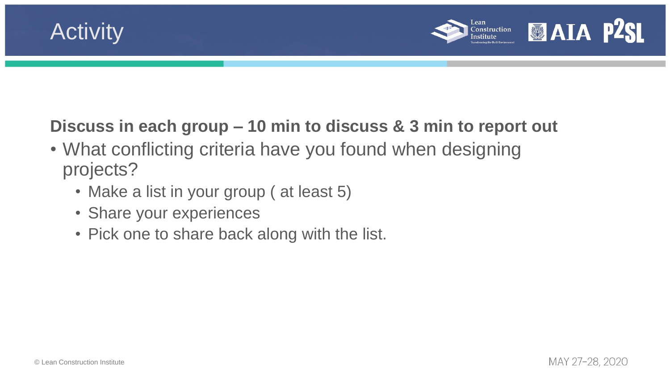





- What conflicting criteria have you found when designing projects?
	- Make a list in your group (at least 5)
	- Share your experiences
	- Pick one to share back along with the list.

### **Discuss in each group – 10 min to discuss & 3 min to report out**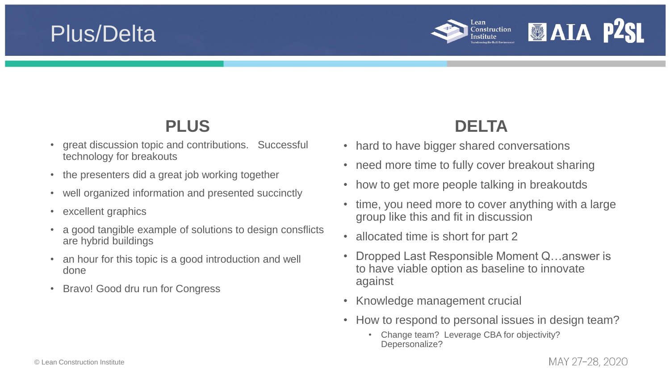

### Plus/Delta



### **PLUS**

- great discussion topic and contributions. Successful technology for breakouts
- the presenters did a great job working together
- well organized information and presented succinctly
- excellent graphics
- a good tangible example of solutions to design consflicts are hybrid buildings
- an hour for this topic is a good introduction and well done
- Bravo! Good dru run for Congress

### **DELTA**

- hard to have bigger shared conversations
- need more time to fully cover breakout sharing
- how to get more people talking in breakoutds
- time, you need more to cover anything with a large group like this and fit in discussion
- allocated time is short for part 2
- Dropped Last Responsible Moment Q…answer is to have viable option as baseline to innovate against
- Knowledge management crucial
- How to respond to personal issues in design team?
	- Change team? Leverage CBA for objectivity? Depersonalize?